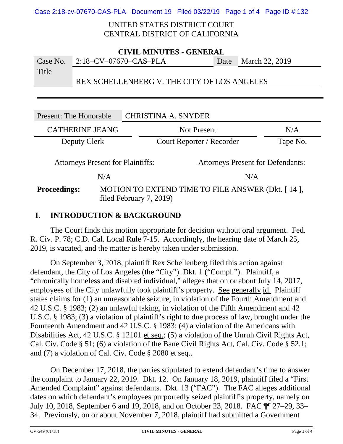Case 2:18-cv-07670-CAS-PLA Document 19 Filed 03/22/19 Page 1 of 4 Page ID #:132

## UNITED STATES DISTRICT COURT CENTRAL DISTRICT OF CALIFORNIA

| <b>CIVIL MINUTES - GENERAL</b> |                                             |  |                     |
|--------------------------------|---------------------------------------------|--|---------------------|
|                                | Case No. $2:18-CV-07670-CAS-PLA$            |  | Date March 22, 2019 |
| Title                          |                                             |  |                     |
|                                | REX SCHELLENBERG V. THE CITY OF LOS ANGELES |  |                     |

| Present: The Honorable                                                               |  | <b>CHRISTINA A. SNYDER</b>                                                   |          |
|--------------------------------------------------------------------------------------|--|------------------------------------------------------------------------------|----------|
| <b>CATHERINE JEANG</b>                                                               |  | <b>Not Present</b>                                                           | N/A      |
| Deputy Clerk                                                                         |  | Court Reporter / Recorder                                                    | Tape No. |
| <b>Attorneys Present for Plaintiffs:</b><br><b>Attorneys Present for Defendants:</b> |  |                                                                              |          |
| N/A                                                                                  |  | N/A                                                                          |          |
| <b>Proceedings:</b>                                                                  |  | MOTION TO EXTEND TIME TO FILE ANSWER (Dkt. [14],<br>filed February $7, 2019$ |          |

# **I. INTRODUCTION & BACKGROUND**

The Court finds this motion appropriate for decision without oral argument. Fed. R. Civ. P. 78; C.D. Cal. Local Rule 7-15. Accordingly, the hearing date of March 25, 2019, is vacated, and the matter is hereby taken under submission.

On September 3, 2018, plaintiff Rex Schellenberg filed this action against defendant, the City of Los Angeles (the "City"). Dkt. 1 ("Compl."). Plaintiff, a "chronically homeless and disabled individual," alleges that on or about July 14, 2017, employees of the City unlawfully took plaintiff's property. See generally id. Plaintiff states claims for (1) an unreasonable seizure, in violation of the Fourth Amendment and 42 U.S.C. § 1983; (2) an unlawful taking, in violation of the Fifth Amendment and 42 U.S.C. § 1983; (3) a violation of plaintiff's right to due process of law, brought under the Fourteenth Amendment and 42 U.S.C. § 1983; (4) a violation of the Americans with Disabilities Act, 42 U.S.C. § 12101 et seq.; (5) a violation of the Unruh Civil Rights Act, Cal. Civ. Code § 51; (6) a violation of the Bane Civil Rights Act, Cal. Civ. Code § 52.1; and (7) a violation of Cal. Civ. Code § 2080 et seq..

On December 17, 2018, the parties stipulated to extend defendant's time to answer the complaint to January 22, 2019. Dkt. 12. On January 18, 2019, plaintiff filed a "First Amended Complaint" against defendants. Dkt. 13 ("FAC"). The FAC alleges additional dates on which defendant's employees purportedly seized plaintiff's property, namely on July 10, 2018, September 6 and 19, 2018, and on October 23, 2018. FAC ¶¶ 27–29, 33– 34. Previously, on or about November 7, 2018, plaintiff had submitted a Government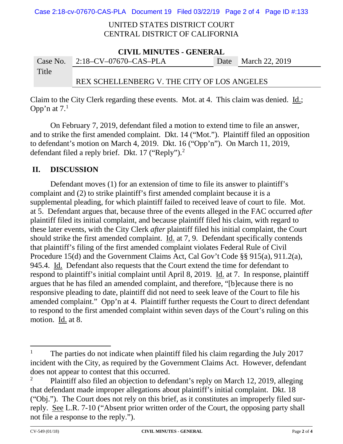Case 2:18-cv-07670-CAS-PLA Document 19 Filed 03/22/19 Page 2 of 4 Page ID #:133

### UNITED STATES DISTRICT COURT CENTRAL DISTRICT OF CALIFORNIA

| <b>CIVIL MINUTES - GENERAL</b> |                                             |  |                     |
|--------------------------------|---------------------------------------------|--|---------------------|
|                                | Case No. $2:18$ -CV-07670-CAS-PLA           |  | Date March 22, 2019 |
| Title                          |                                             |  |                     |
|                                | REX SCHELLENBERG V. THE CITY OF LOS ANGELES |  |                     |

Claim to the City Clerk regarding these events. Mot. at 4. This claim was denied. Id.; Opp'n at  $7<sup>1</sup>$  $7<sup>1</sup>$  $7<sup>1</sup>$ 

On February 7, 2019, defendant filed a motion to extend time to file an answer, and to strike the first amended complaint. Dkt. 14 ("Mot."). Plaintiff filed an opposition to defendant's motion on March 4, 2019. Dkt. 16 ("Opp'n"). On March 11, 2019, defendant filed a reply brief. Dkt. 17 ("Reply").<sup>[2](#page-1-1)</sup>

# **II. DISCUSSION**

Defendant moves (1) for an extension of time to file its answer to plaintiff's complaint and (2) to strike plaintiff's first amended complaint because it is a supplemental pleading, for which plaintiff failed to received leave of court to file. Mot. at 5. Defendant argues that, because three of the events alleged in the FAC occurred *after* plaintiff filed its initial complaint, and because plaintiff filed his claim, with regard to these later events, with the City Clerk *after* plaintiff filed his initial complaint, the Court should strike the first amended complaint. Id. at 7, 9. Defendant specifically contends that plaintiff's filing of the first amended complaint violates Federal Rule of Civil Procedure 15(d) and the Government Claims Act, Cal Gov't Code §§ 915(a), 911.2(a), 945.4. Id. Defendant also requests that the Court extend the time for defendant to respond to plaintiff's initial complaint until April 8, 2019. Id. at 7. In response, plaintiff argues that he has filed an amended complaint, and therefore, "[b]ecause there is no responsive pleading to date, plaintiff did not need to seek leave of the Court to file his amended complaint." Opp'n at 4. Plaintiff further requests the Court to direct defendant to respond to the first amended complaint within seven days of the Court's ruling on this motion. Id. at 8.

l

<span id="page-1-0"></span><sup>1</sup> The parties do not indicate when plaintiff filed his claim regarding the July 2017 incident with the City, as required by the Government Claims Act. However, defendant does not appear to contest that this occurred.

<span id="page-1-1"></span><sup>&</sup>lt;sup>2</sup> Plaintiff also filed an objection to defendant's reply on March 12, 2019, alleging that defendant made improper allegations about plaintiff's initial complaint. Dkt. 18 ("Obj."). The Court does not rely on this brief, as it constitutes an improperly filed surreply. See L.R. 7-10 ("Absent prior written order of the Court, the opposing party shall not file a response to the reply.").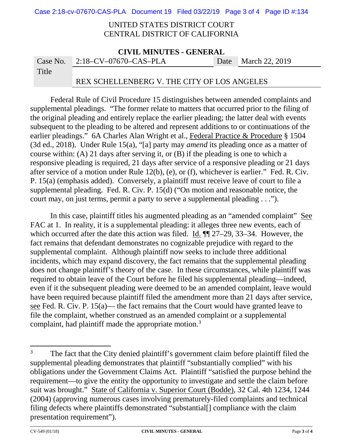Case 2:18-cv-07670-CAS-PLA Document 19 Filed 03/22/19 Page 3 of 4 Page ID #:134

## UNITED STATES DISTRICT COURT CENTRAL DISTRICT OF CALIFORNIA

| <b>CIVIL MINUTES - GENERAL</b> |                                             |  |                     |  |
|--------------------------------|---------------------------------------------|--|---------------------|--|
|                                | Case No. $2:18$ -CV-07670-CAS-PLA           |  | Date March 22, 2019 |  |
| Title                          |                                             |  |                     |  |
|                                | REX SCHELLENBERG V. THE CITY OF LOS ANGELES |  |                     |  |

Federal Rule of Civil Procedure 15 distinguishes between amended complaints and supplemental pleadings. "The former relate to matters that occurred prior to the filing of the original pleading and entirely replace the earlier pleading; the latter deal with events subsequent to the pleading to be altered and represent additions to or continuations of the earlier pleadings." 6A Charles Alan Wright et al., Federal Practice & Procedure § 1504 (3d ed., 2018). Under Rule 15(a), "[a] party may *amend* its pleading once as a matter of course within: (A) 21 days after serving it, or (B) if the pleading is one to which a responsive pleading is required, 21 days after service of a responsive pleading or 21 days after service of a motion under Rule 12(b), (e), or (f), whichever is earlier." Fed. R. Civ. P. 15(a) (emphasis added). Conversely, a plaintiff must receive leave of court to file a supplemental pleading. Fed. R. Civ. P. 15(d) ("On motion and reasonable notice, the court may, on just terms, permit a party to serve a supplemental pleading . . .").

In this case, plaintiff titles his augmented pleading as an "amended complaint" See FAC at 1. In reality, it is a supplemental pleading: it alleges three new events, each of which occurred after the date this action was filed. Id.  $\P$  27–29, 33–34. However, the fact remains that defendant demonstrates no cognizable prejudice with regard to the supplemental complaint. Although plaintiff now seeks to include three additional incidents, which may expand discovery, the fact remains that the supplemental pleading does not change plaintiff's theory of the case. In these circumstances, while plaintiff was required to obtain leave of the Court before he filed his supplemental pleading—indeed, even if it the subsequent pleading were deemed to be an amended complaint, leave would have been required because plaintiff filed the amendment more than 21 days after service, see Fed. R. Civ. P. 15(a)— the fact remains that the Court would have granted leave to file the complaint, whether construed as an amended complaint or a supplemental complaint, had plaintiff made the appropriate motion.<sup>[3](#page-2-0)</sup>

l

<span id="page-2-0"></span><sup>3</sup> The fact that the City denied plaintiff's government claim before plaintiff filed the supplemental pleading demonstrates that plaintiff "substantially complied" with his obligations under the Government Claims Act. Plaintiff "satisfied the purpose behind the requirement—to give the entity the opportunity to investigate and settle the claim before suit was brought." State of California v. Superior Court (Bodde), 32 Cal. 4th 1234, 1244 (2004) (approving numerous cases involving prematurely-filed complaints and technical filing defects where plaintiffs demonstrated "substantial[] compliance with the claim presentation requirement").